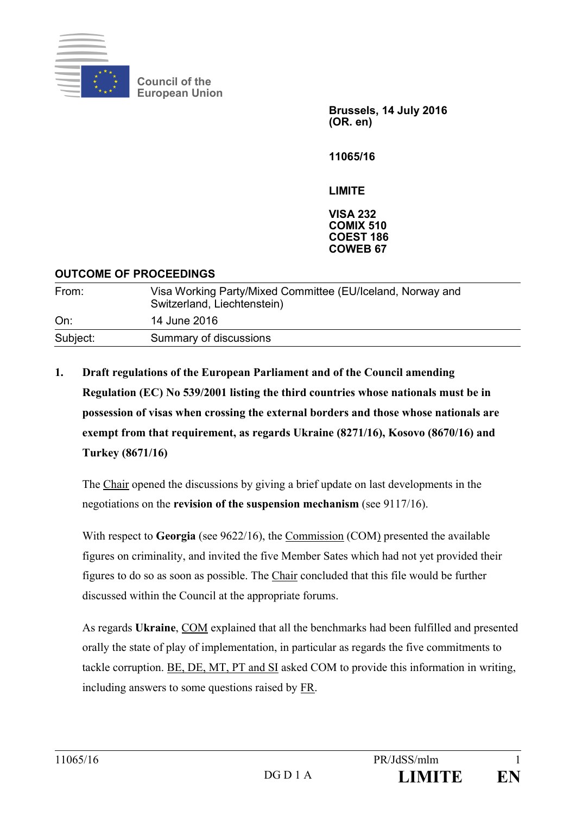

**Council of the European Union** 

> **Brussels, 14 July 2016 (OR. en)**

**11065/16** 

**LIMITE** 

**VISA 232 COMIX 510 COEST 186 COWEB 67** 

### **OUTCOME OF PROCEEDINGS**

| From:    | Visa Working Party/Mixed Committee (EU/Iceland, Norway and<br>Switzerland, Liechtenstein) |
|----------|-------------------------------------------------------------------------------------------|
| On:      | 14 June 2016                                                                              |
| Subject: | Summary of discussions                                                                    |

**1. Draft regulations of the European Parliament and of the Council amending Regulation (EC) No 539/2001 listing the third countries whose nationals must be in possession of visas when crossing the external borders and those whose nationals are exempt from that requirement, as regards Ukraine (8271/16), Kosovo (8670/16) and Turkey (8671/16)** 

The Chair opened the discussions by giving a brief update on last developments in the negotiations on the **revision of the suspension mechanism** (see 9117/16).

With respect to **Georgia** (see 9622/16), the Commission (COM) presented the available figures on criminality, and invited the five Member Sates which had not yet provided their figures to do so as soon as possible. The Chair concluded that this file would be further discussed within the Council at the appropriate forums.

As regards **Ukraine**, COM explained that all the benchmarks had been fulfilled and presented orally the state of play of implementation, in particular as regards the five commitments to tackle corruption. BE, DE, MT, PT and SI asked COM to provide this information in writing, including answers to some questions raised by FR.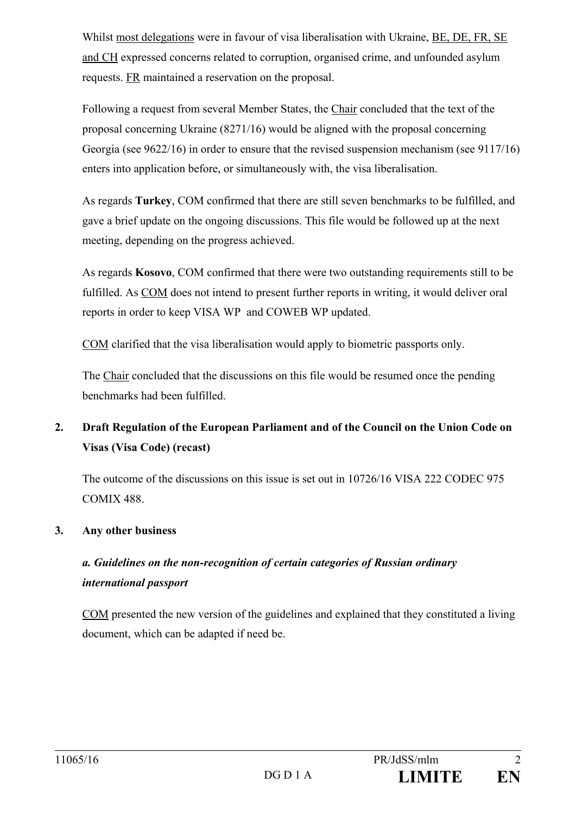Whilst most delegations were in favour of visa liberalisation with Ukraine, BE, DE, FR, SE and CH expressed concerns related to corruption, organised crime, and unfounded asylum requests. FR maintained a reservation on the proposal.

Following a request from several Member States, the Chair concluded that the text of the proposal concerning Ukraine (8271/16) would be aligned with the proposal concerning Georgia (see 9622/16) in order to ensure that the revised suspension mechanism (see 9117/16) enters into application before, or simultaneously with, the visa liberalisation.

As regards **Turkey**, COM confirmed that there are still seven benchmarks to be fulfilled, and gave a brief update on the ongoing discussions. This file would be followed up at the next meeting, depending on the progress achieved.

As regards **Kosovo**, COM confirmed that there were two outstanding requirements still to be fulfilled. As COM does not intend to present further reports in writing, it would deliver oral reports in order to keep VISA WP and COWEB WP updated.

COM clarified that the visa liberalisation would apply to biometric passports only.

The Chair concluded that the discussions on this file would be resumed once the pending benchmarks had been fulfilled.

# **2. Draft Regulation of the European Parliament and of the Council on the Union Code on Visas (Visa Code) (recast)**

The outcome of the discussions on this issue is set out in 10726/16 VISA 222 CODEC 975 COMIX 488.

## **3. Any other business**

# *a. Guidelines on the non-recognition of certain categories of Russian ordinary international passport*

COM presented the new version of the guidelines and explained that they constituted a living document, which can be adapted if need be.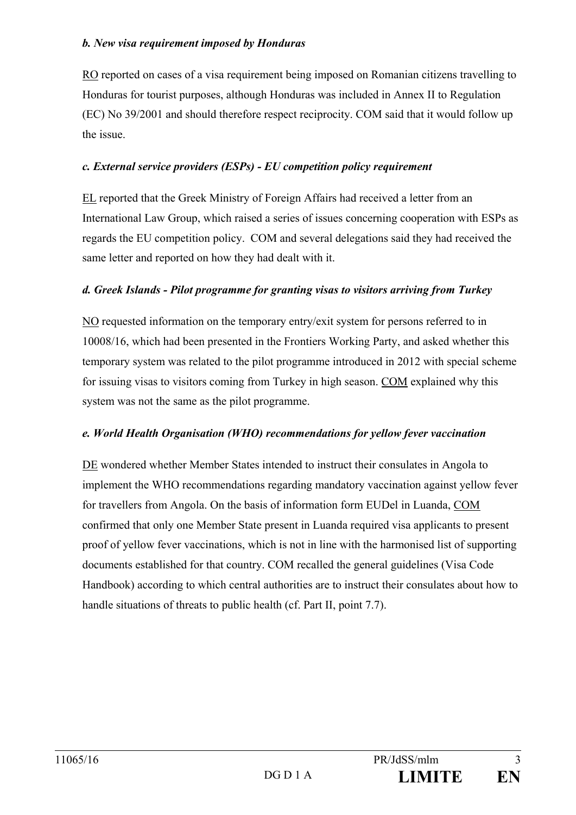#### *b. New visa requirement imposed by Honduras*

RO reported on cases of a visa requirement being imposed on Romanian citizens travelling to Honduras for tourist purposes, although Honduras was included in Annex II to Regulation (EC) No 39/2001 and should therefore respect reciprocity. COM said that it would follow up the issue.

#### *c. External service providers (ESPs) - EU competition policy requirement*

EL reported that the Greek Ministry of Foreign Affairs had received a letter from an International Law Group, which raised a series of issues concerning cooperation with ESPs as regards the EU competition policy. COM and several delegations said they had received the same letter and reported on how they had dealt with it.

#### *d. Greek Islands - Pilot programme for granting visas to visitors arriving from Turkey*

NO requested information on the temporary entry/exit system for persons referred to in 10008/16, which had been presented in the Frontiers Working Party, and asked whether this temporary system was related to the pilot programme introduced in 2012 with special scheme for issuing visas to visitors coming from Turkey in high season. COM explained why this system was not the same as the pilot programme.

#### *e. World Health Organisation (WHO) recommendations for yellow fever vaccination*

DE wondered whether Member States intended to instruct their consulates in Angola to implement the WHO recommendations regarding mandatory vaccination against yellow fever for travellers from Angola. On the basis of information form EUDel in Luanda, COM confirmed that only one Member State present in Luanda required visa applicants to present proof of yellow fever vaccinations, which is not in line with the harmonised list of supporting documents established for that country. COM recalled the general guidelines (Visa Code Handbook) according to which central authorities are to instruct their consulates about how to handle situations of threats to public health (cf. Part II, point 7.7).